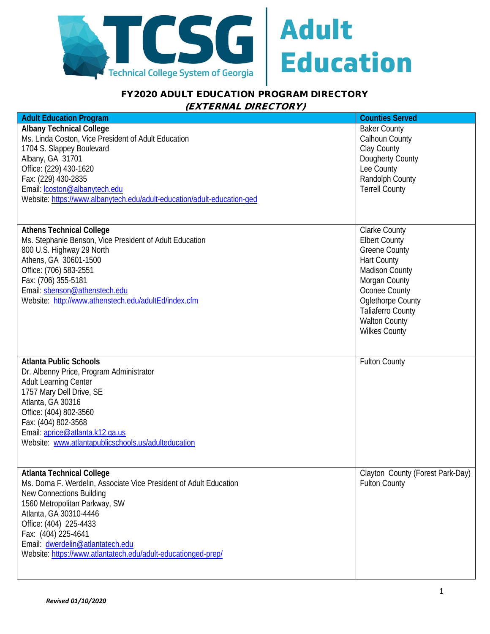

| <b>Adult Education Program</b>                                          | <b>Counties Served</b>           |
|-------------------------------------------------------------------------|----------------------------------|
| <b>Albany Technical College</b>                                         | <b>Baker County</b>              |
| Ms. Linda Coston, Vice President of Adult Education                     | Calhoun County                   |
| 1704 S. Slappey Boulevard                                               | Clay County                      |
| Albany, GA 31701                                                        | Dougherty County                 |
| Office: (229) 430-1620                                                  | Lee County                       |
| Fax: (229) 430-2835                                                     | Randolph County                  |
| Email: <i>Icoston@albanytech.edu</i>                                    | <b>Terrell County</b>            |
| Website: https://www.albanytech.edu/adult-education/adult-education-ged |                                  |
|                                                                         |                                  |
| <b>Athens Technical College</b>                                         | <b>Clarke County</b>             |
| Ms. Stephanie Benson, Vice President of Adult Education                 | <b>Elbert County</b>             |
| 800 U.S. Highway 29 North                                               | <b>Greene County</b>             |
| Athens, GA 30601-1500                                                   | <b>Hart County</b>               |
| Office: (706) 583-2551                                                  | <b>Madison County</b>            |
| Fax: (706) 355-5181                                                     | Morgan County                    |
| Email: sbenson@athenstech.edu                                           | Oconee County                    |
| Website: http://www.athenstech.edu/adultEd/index.cfm                    | <b>Oglethorpe County</b>         |
|                                                                         | <b>Taliaferro County</b>         |
|                                                                         | <b>Walton County</b>             |
|                                                                         | <b>Wilkes County</b>             |
|                                                                         |                                  |
|                                                                         |                                  |
| <b>Atlanta Public Schools</b>                                           | <b>Fulton County</b>             |
| Dr. Albenny Price, Program Administrator                                |                                  |
| <b>Adult Learning Center</b>                                            |                                  |
| 1757 Mary Dell Drive, SE                                                |                                  |
| Atlanta, GA 30316                                                       |                                  |
| Office: (404) 802-3560                                                  |                                  |
| Fax: (404) 802-3568                                                     |                                  |
| Email: aprice@atlanta.k12.ga.us                                         |                                  |
| Website: www.atlantapublicschools.us/adulteducation                     |                                  |
|                                                                         |                                  |
|                                                                         |                                  |
| <b>Atlanta Technical College</b>                                        | Clayton County (Forest Park-Day) |
| Ms. Dorna F. Werdelin, Associate Vice President of Adult Education      | <b>Fulton County</b>             |
| <b>New Connections Building</b>                                         |                                  |
| 1560 Metropolitan Parkway, SW                                           |                                  |
| Atlanta, GA 30310-4446                                                  |                                  |
| Office: (404) 225-4433                                                  |                                  |
| Fax: (404) 225-4641                                                     |                                  |
| Email: dwerdelin@atlantatech.edu                                        |                                  |
| Website: https://www.atlantatech.edu/adult-educationged-prep/           |                                  |
|                                                                         |                                  |
|                                                                         |                                  |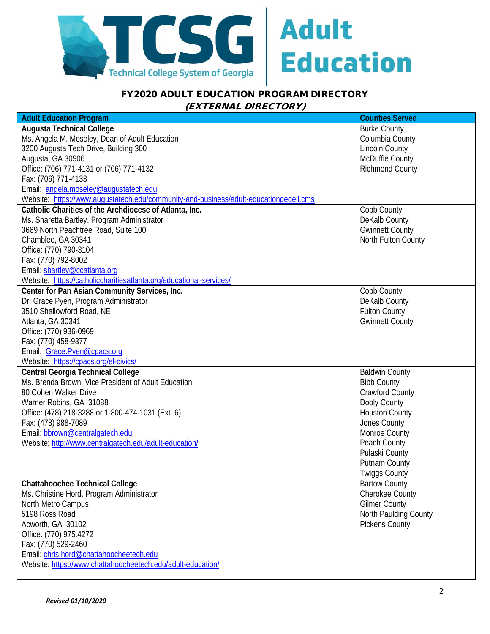

| <b>Adult Education Program</b>                                                        | <b>Counties Served</b> |
|---------------------------------------------------------------------------------------|------------------------|
| <b>Augusta Technical College</b>                                                      | <b>Burke County</b>    |
| Ms. Angela M. Moseley, Dean of Adult Education                                        | Columbia County        |
| 3200 Augusta Tech Drive, Building 300                                                 | <b>Lincoln County</b>  |
| Augusta, GA 30906                                                                     | McDuffie County        |
| Office: (706) 771-4131 or (706) 771-4132                                              | <b>Richmond County</b> |
| Fax: (706) 771-4133                                                                   |                        |
| Email: angela.moseley@augustatech.edu                                                 |                        |
| Website: https://www.augustatech.edu/community-and-business/adult-educationgedell.cms |                        |
| Catholic Charities of the Archdiocese of Atlanta, Inc.                                | Cobb County            |
| Ms. Sharetta Bartley, Program Administrator                                           | DeKalb County          |
| 3669 North Peachtree Road, Suite 100                                                  | <b>Gwinnett County</b> |
| Chamblee, GA 30341                                                                    | North Fulton County    |
| Office: (770) 790-3104                                                                |                        |
| Fax: (770) 792-8002                                                                   |                        |
| Email: sbartley@ccatlanta.org                                                         |                        |
| Website: https://catholiccharitiesatlanta.org/educational-services/                   |                        |
| Center for Pan Asian Community Services, Inc.                                         | Cobb County            |
| Dr. Grace Pyen, Program Administrator                                                 | DeKalb County          |
| 3510 Shallowford Road, NE                                                             | <b>Fulton County</b>   |
| Atlanta, GA 30341                                                                     | <b>Gwinnett County</b> |
| Office: (770) 936-0969                                                                |                        |
| Fax: (770) 458-9377                                                                   |                        |
| Email: Grace.Pyen@cpacs.org                                                           |                        |
| Website: https://cpacs.org/el-civics/                                                 |                        |
| Central Georgia Technical College                                                     | <b>Baldwin County</b>  |
| Ms. Brenda Brown, Vice President of Adult Education                                   | <b>Bibb County</b>     |
| 80 Cohen Walker Drive                                                                 | <b>Crawford County</b> |
| Warner Robins, GA 31088                                                               | Dooly County           |
| Office: (478) 218-3288 or 1-800-474-1031 (Ext. 6)                                     | <b>Houston County</b>  |
| Fax: (478) 988-7089                                                                   | Jones County           |
| Email: bbrown@centralgatech.edu                                                       | Monroe County          |
| Website: http://www.centralgatech.edu/adult-education/                                | Peach County           |
|                                                                                       | Pulaski County         |
|                                                                                       | <b>Putnam County</b>   |
|                                                                                       | <b>Twiggs County</b>   |
| <b>Chattahoochee Technical College</b>                                                | <b>Bartow County</b>   |
| Ms. Christine Hord, Program Administrator                                             | Cherokee County        |
| North Metro Campus                                                                    | <b>Gilmer County</b>   |
| 5198 Ross Road                                                                        | North Paulding County  |
| Acworth, GA 30102                                                                     | <b>Pickens County</b>  |
| Office: (770) 975.4272                                                                |                        |
| Fax: (770) 529-2460                                                                   |                        |
| Email: chris.hord@chattahoocheetech.edu                                               |                        |
| Website: https://www.chattahoocheetech.edu/adult-education/                           |                        |
|                                                                                       |                        |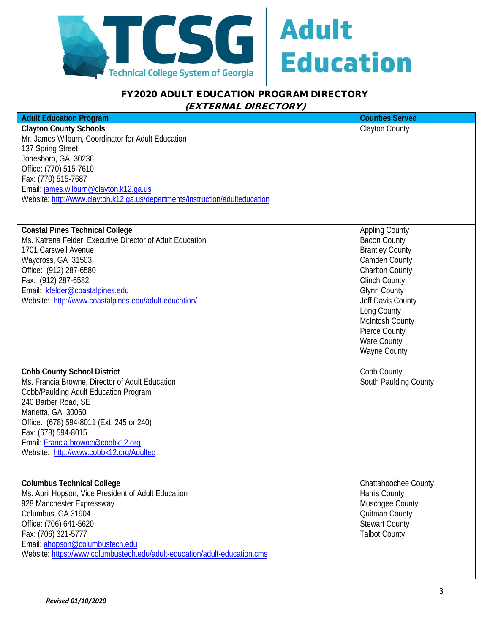

| <b>Adult Education Program</b>                                                                                                                                                                                                                                                                                                 | <b>Counties Served</b>                                                                                                                                                                                                                                                                |
|--------------------------------------------------------------------------------------------------------------------------------------------------------------------------------------------------------------------------------------------------------------------------------------------------------------------------------|---------------------------------------------------------------------------------------------------------------------------------------------------------------------------------------------------------------------------------------------------------------------------------------|
| <b>Clayton County Schools</b><br>Mr. James Wilburn, Coordinator for Adult Education<br>137 Spring Street<br>Jonesboro, GA 30236<br>Office: (770) 515-7610<br>Fax: (770) 515-7687<br>Email: james.wilburn@clayton.k12.ga.us<br>Website: http://www.clayton.k12.ga.us/departments/instruction/adulteducation                     | <b>Clayton County</b>                                                                                                                                                                                                                                                                 |
| <b>Coastal Pines Technical College</b><br>Ms. Katrena Felder, Executive Director of Adult Education<br>1701 Carswell Avenue<br>Waycross, GA 31503<br>Office: (912) 287-6580<br>Fax: (912) 287-6582<br>Email: kfelder@coastalpines.edu<br>Website: http://www.coastalpines.edu/adult-education/                                 | <b>Appling County</b><br><b>Bacon County</b><br><b>Brantley County</b><br>Camden County<br><b>Charlton County</b><br><b>Clinch County</b><br><b>Glynn County</b><br>Jeff Davis County<br>Long County<br><b>McIntosh County</b><br>Pierce County<br>Ware County<br><b>Wayne County</b> |
| <b>Cobb County School District</b><br>Ms. Francia Browne, Director of Adult Education<br>Cobb/Paulding Adult Education Program<br>240 Barber Road, SE<br>Marietta, GA 30060<br>Office: (678) 594-8011 (Ext. 245 or 240)<br>Fax: (678) 594-8015<br>Email: Francia.browne@cobbk12.org<br>Website: http://www.cobbk12.org/Adulted | Cobb County<br>South Paulding County                                                                                                                                                                                                                                                  |
| <b>Columbus Technical College</b><br>Ms. April Hopson, Vice President of Adult Education<br>928 Manchester Expressway<br>Columbus, GA 31904<br>Office: (706) 641-5620<br>Fax: (706) 321-5777<br>Email: ahopson@columbustech.edu<br>Website: https://www.columbustech.edu/adult-education/adult-education.cms                   | Chattahoochee County<br><b>Harris County</b><br>Muscogee County<br>Quitman County<br><b>Stewart County</b><br><b>Talbot County</b>                                                                                                                                                    |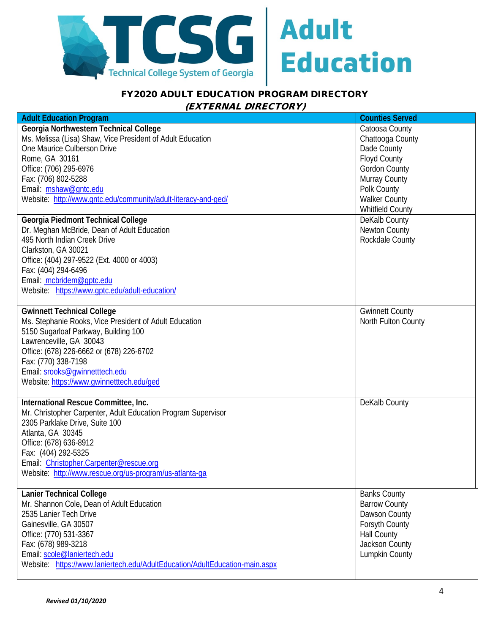

| <b>Adult Education Program</b>                                              | <b>Counties Served</b>  |
|-----------------------------------------------------------------------------|-------------------------|
| Georgia Northwestern Technical College                                      | Catoosa County          |
| Ms. Melissa (Lisa) Shaw, Vice President of Adult Education                  | Chattooga County        |
| One Maurice Culberson Drive                                                 | Dade County             |
| Rome, GA 30161                                                              | <b>Floyd County</b>     |
| Office: (706) 295-6976                                                      | Gordon County           |
| Fax: (706) 802-5288                                                         | Murray County           |
| Email: mshaw@qntc.edu                                                       | Polk County             |
| Website: http://www.gntc.edu/community/adult-literacy-and-ged/              | <b>Walker County</b>    |
|                                                                             | <b>Whitfield County</b> |
| Georgia Piedmont Technical College                                          | DeKalb County           |
| Dr. Meghan McBride, Dean of Adult Education                                 | <b>Newton County</b>    |
| 495 North Indian Creek Drive                                                | <b>Rockdale County</b>  |
| Clarkston, GA 30021                                                         |                         |
| Office: (404) 297-9522 (Ext. 4000 or 4003)                                  |                         |
| Fax: (404) 294-6496                                                         |                         |
| Email: mcbridem@qptc.edu                                                    |                         |
| Website: https://www.gptc.edu/adult-education/                              |                         |
|                                                                             |                         |
| <b>Gwinnett Technical College</b>                                           | <b>Gwinnett County</b>  |
| Ms. Stephanie Rooks, Vice President of Adult Education                      | North Fulton County     |
| 5150 Sugarloaf Parkway, Building 100                                        |                         |
| Lawrenceville, GA 30043                                                     |                         |
| Office: (678) 226-6662 or (678) 226-6702                                    |                         |
| Fax: (770) 338-7198                                                         |                         |
| Email: srooks@gwinnetttech.edu                                              |                         |
| Website: https://www.gwinnetttech.edu/ged                                   |                         |
|                                                                             |                         |
| International Rescue Committee, Inc.                                        | DeKalb County           |
| Mr. Christopher Carpenter, Adult Education Program Supervisor               |                         |
| 2305 Parklake Drive, Suite 100                                              |                         |
| Atlanta, GA 30345                                                           |                         |
| Office: (678) 636-8912                                                      |                         |
| Fax: (404) 292-5325                                                         |                         |
| Email: Christopher.Carpenter@rescue.org                                     |                         |
| Website: http://www.rescue.org/us-program/us-atlanta-ga                     |                         |
|                                                                             |                         |
| <b>Lanier Technical College</b>                                             | <b>Banks County</b>     |
| Mr. Shannon Cole, Dean of Adult Education                                   | <b>Barrow County</b>    |
| 2535 Lanier Tech Drive                                                      | Dawson County           |
| Gainesville, GA 30507                                                       | Forsyth County          |
| Office: (770) 531-3367                                                      | <b>Hall County</b>      |
| Fax: (678) 989-3218                                                         | Jackson County          |
| Email: scole@laniertech.edu                                                 | Lumpkin County          |
| Website: https://www.laniertech.edu/AdultEducation/AdultEducation-main.aspx |                         |
|                                                                             |                         |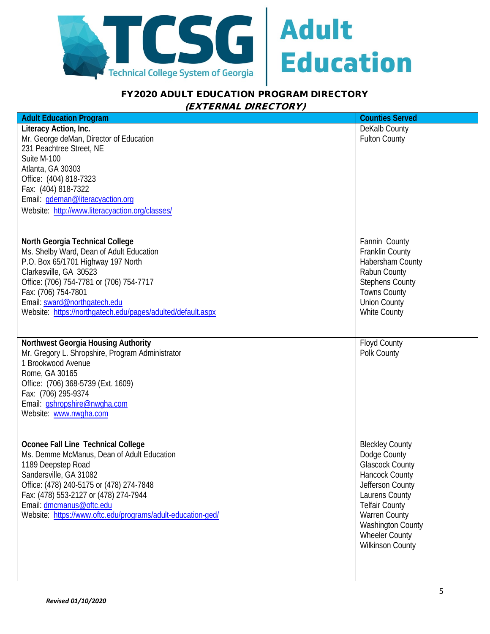

| <b>Adult Education Program</b>                              | <b>Counties Served</b>   |
|-------------------------------------------------------------|--------------------------|
| Literacy Action, Inc.                                       | DeKalb County            |
| Mr. George deMan, Director of Education                     | <b>Fulton County</b>     |
| 231 Peachtree Street, NE                                    |                          |
| Suite M-100                                                 |                          |
| Atlanta, GA 30303                                           |                          |
|                                                             |                          |
| Office: (404) 818-7323                                      |                          |
| Fax: (404) 818-7322                                         |                          |
| Email: gdeman@literacyaction.org                            |                          |
| Website: http://www.literacyaction.org/classes/             |                          |
|                                                             |                          |
|                                                             |                          |
| North Georgia Technical College                             | Fannin County            |
| Ms. Shelby Ward, Dean of Adult Education                    | <b>Franklin County</b>   |
| P.O. Box 65/1701 Highway 197 North                          | Habersham County         |
| Clarkesville, GA 30523                                      | Rabun County             |
| Office: (706) 754-7781 or (706) 754-7717                    | <b>Stephens County</b>   |
| Fax: (706) 754-7801                                         | <b>Towns County</b>      |
| Email: sward@northgatech.edu                                | <b>Union County</b>      |
| Website: https://northqatech.edu/pages/adulted/default.aspx | <b>White County</b>      |
|                                                             |                          |
|                                                             |                          |
| Northwest Georgia Housing Authority                         | <b>Floyd County</b>      |
| Mr. Gregory L. Shropshire, Program Administrator            | Polk County              |
| 1 Brookwood Avenue                                          |                          |
| Rome, GA 30165                                              |                          |
| Office: (706) 368-5739 (Ext. 1609)                          |                          |
| Fax: (706) 295-9374                                         |                          |
| Email: gshropshire@nwqha.com                                |                          |
| Website: www.nwgha.com                                      |                          |
|                                                             |                          |
|                                                             |                          |
| Oconee Fall Line Technical College                          | <b>Bleckley County</b>   |
| Ms. Demme McManus, Dean of Adult Education                  | Dodge County             |
| 1189 Deepstep Road                                          | <b>Glascock County</b>   |
| Sandersville, GA 31082                                      | <b>Hancock County</b>    |
| Office: (478) 240-5175 or (478) 274-7848                    | Jefferson County         |
| Fax: (478) 553-2127 or (478) 274-7944                       | Laurens County           |
| Email: dmcmanus@oftc.edu                                    | <b>Telfair County</b>    |
| Website: https://www.oftc.edu/programs/adult-education-ged/ | <b>Warren County</b>     |
|                                                             | <b>Washington County</b> |
|                                                             | <b>Wheeler County</b>    |
|                                                             | <b>Wilkinson County</b>  |
|                                                             |                          |
|                                                             |                          |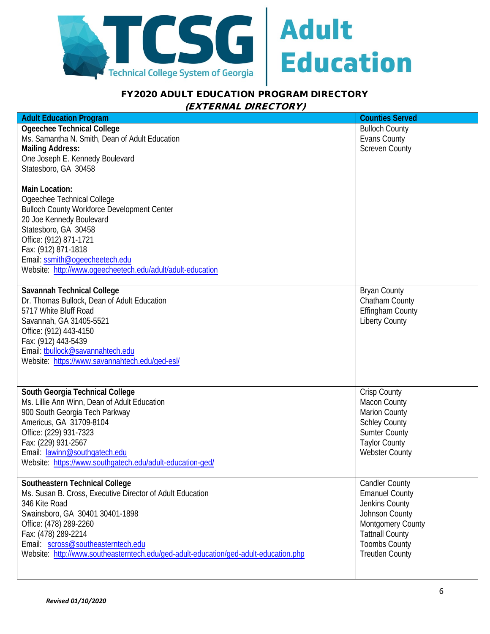

| <b>Adult Education Program</b>                                                                                                                                                                                                                                                                                 | <b>Counties Served</b>  |
|----------------------------------------------------------------------------------------------------------------------------------------------------------------------------------------------------------------------------------------------------------------------------------------------------------------|-------------------------|
| <b>Ogeechee Technical College</b>                                                                                                                                                                                                                                                                              | <b>Bulloch County</b>   |
| Ms. Samantha N. Smith, Dean of Adult Education                                                                                                                                                                                                                                                                 | <b>Evans County</b>     |
| <b>Mailing Address:</b>                                                                                                                                                                                                                                                                                        | <b>Screven County</b>   |
| One Joseph E. Kennedy Boulevard                                                                                                                                                                                                                                                                                |                         |
| Statesboro, GA 30458                                                                                                                                                                                                                                                                                           |                         |
| <b>Main Location:</b><br>Ogeechee Technical College<br><b>Bulloch County Workforce Development Center</b><br>20 Joe Kennedy Boulevard<br>Statesboro, GA 30458<br>Office: (912) 871-1721<br>Fax: (912) 871-1818<br>Email: ssmith@ogeecheetech.edu<br>Website: http://www.ogeecheetech.edu/adult/adult-education |                         |
| Savannah Technical College                                                                                                                                                                                                                                                                                     | <b>Bryan County</b>     |
| Dr. Thomas Bullock, Dean of Adult Education                                                                                                                                                                                                                                                                    | Chatham County          |
| 5717 White Bluff Road                                                                                                                                                                                                                                                                                          | <b>Effingham County</b> |
| Savannah, GA 31405-5521                                                                                                                                                                                                                                                                                        | <b>Liberty County</b>   |
| Office: (912) 443-4150                                                                                                                                                                                                                                                                                         |                         |
| Fax: (912) 443-5439                                                                                                                                                                                                                                                                                            |                         |
| Email: tbullock@savannahtech.edu                                                                                                                                                                                                                                                                               |                         |
| Website: https://www.savannahtech.edu/ged-esl/                                                                                                                                                                                                                                                                 |                         |
|                                                                                                                                                                                                                                                                                                                |                         |
| South Georgia Technical College                                                                                                                                                                                                                                                                                | <b>Crisp County</b>     |
| Ms. Lillie Ann Winn, Dean of Adult Education                                                                                                                                                                                                                                                                   | Macon County            |
| 900 South Georgia Tech Parkway                                                                                                                                                                                                                                                                                 | <b>Marion County</b>    |
| Americus, GA 31709-8104                                                                                                                                                                                                                                                                                        | <b>Schley County</b>    |
| Office: (229) 931-7323                                                                                                                                                                                                                                                                                         | <b>Sumter County</b>    |
| Fax: (229) 931-2567                                                                                                                                                                                                                                                                                            | <b>Taylor County</b>    |
| Email: lawinn@southqatech.edu<br>Website: https://www.southqatech.edu/adult-education-ged/                                                                                                                                                                                                                     | <b>Webster County</b>   |
|                                                                                                                                                                                                                                                                                                                |                         |
| Southeastern Technical College                                                                                                                                                                                                                                                                                 | <b>Candler County</b>   |
| Ms. Susan B. Cross, Executive Director of Adult Education                                                                                                                                                                                                                                                      | <b>Emanuel County</b>   |
| 346 Kite Road                                                                                                                                                                                                                                                                                                  | Jenkins County          |
| Swainsboro, GA 30401 30401-1898                                                                                                                                                                                                                                                                                | Johnson County          |
| Office: (478) 289-2260                                                                                                                                                                                                                                                                                         | Montgomery County       |
| Fax: (478) 289-2214                                                                                                                                                                                                                                                                                            | <b>Tattnall County</b>  |
| Email: scross@southeasterntech.edu                                                                                                                                                                                                                                                                             | <b>Toombs County</b>    |
| Website: http://www.southeasterntech.edu/ged-adult-education/ged-adult-education.php                                                                                                                                                                                                                           | <b>Treutlen County</b>  |
|                                                                                                                                                                                                                                                                                                                |                         |